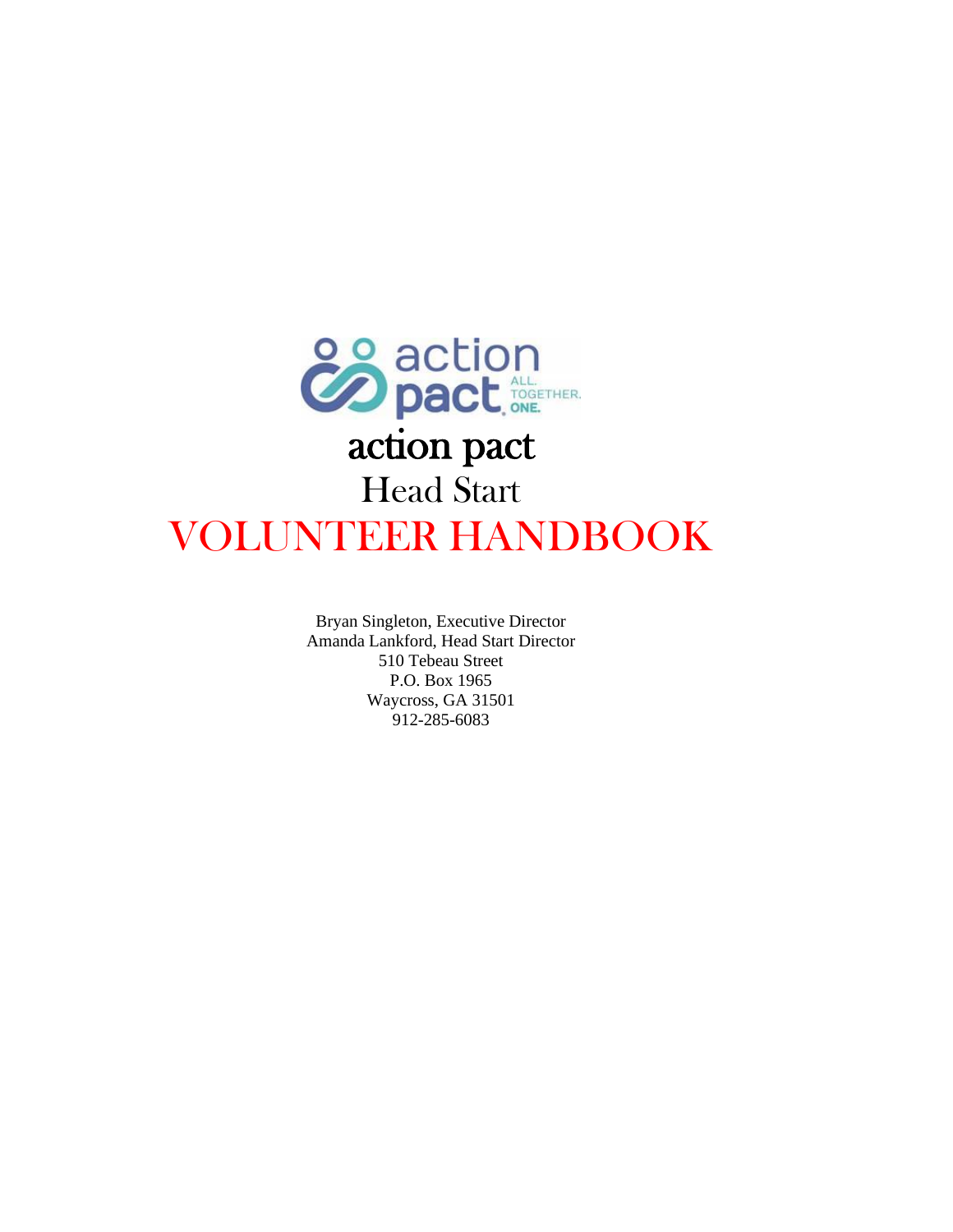

Bryan Singleton, Executive Director Amanda Lankford, Head Start Director 510 Tebeau Street P.O. Box 1965 Waycross, GA 31501 912-285-6083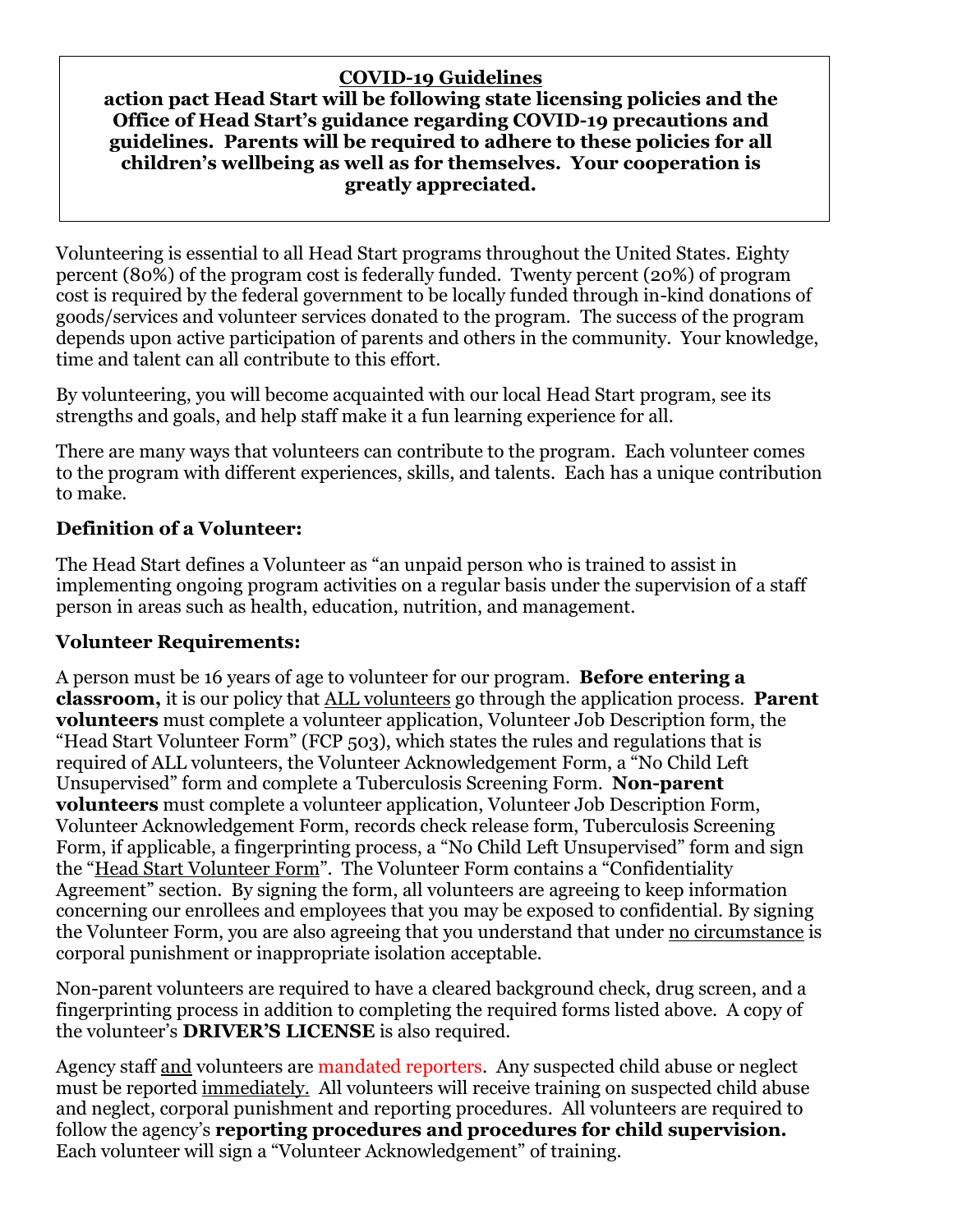### **COVID-19 Guidelines**

#### **action pact Head Start will be following state licensing policies and the Office of Head Start's guidance regarding COVID-19 precautions and guidelines. Parents will be required to adhere to these policies for all children's wellbeing as well as for themselves. Your cooperation is greatly appreciated.**

Volunteering is essential to all Head Start programs throughout the United States. Eighty percent (80%) of the program cost is federally funded. Twenty percent (20%) of program cost is required by the federal government to be locally funded through in-kind donations of goods/services and volunteer services donated to the program. The success of the program depends upon active participation of parents and others in the community. Your knowledge, time and talent can all contribute to this effort.

By volunteering, you will become acquainted with our local Head Start program, see its strengths and goals, and help staff make it a fun learning experience for all.

There are many ways that volunteers can contribute to the program. Each volunteer comes to the program with different experiences, skills, and talents. Each has a unique contribution to make.

### **Definition of a Volunteer:**

The Head Start defines a Volunteer as "an unpaid person who is trained to assist in implementing ongoing program activities on a regular basis under the supervision of a staff person in areas such as health, education, nutrition, and management.

#### **Volunteer Requirements:**

A person must be 16 years of age to volunteer for our program. **Before entering a classroom,** it is our policy that ALL volunteers go through the application process. **Parent volunteers** must complete a volunteer application, Volunteer Job Description form, the "Head Start Volunteer Form" (FCP 503), which states the rules and regulations that is required of ALL volunteers, the Volunteer Acknowledgement Form, a "No Child Left Unsupervised" form and complete a Tuberculosis Screening Form. **Non-parent volunteers** must complete a volunteer application, Volunteer Job Description Form, Volunteer Acknowledgement Form, records check release form, Tuberculosis Screening Form, if applicable, a fingerprinting process, a "No Child Left Unsupervised" form and sign the "Head Start Volunteer Form". The Volunteer Form contains a "Confidentiality Agreement" section. By signing the form, all volunteers are agreeing to keep information concerning our enrollees and employees that you may be exposed to confidential. By signing the Volunteer Form, you are also agreeing that you understand that under no circumstance is corporal punishment or inappropriate isolation acceptable.

Non-parent volunteers are required to have a cleared background check, drug screen, and a fingerprinting process in addition to completing the required forms listed above. A copy of the volunteer's **DRIVER'S LICENSE** is also required.

Agency staff and volunteers are mandated reporters. Any suspected child abuse or neglect must be reported immediately. All volunteers will receive training on suspected child abuse and neglect, corporal punishment and reporting procedures. All volunteers are required to follow the agency's **reporting procedures and procedures for child supervision.**  Each volunteer will sign a "Volunteer Acknowledgement" of training.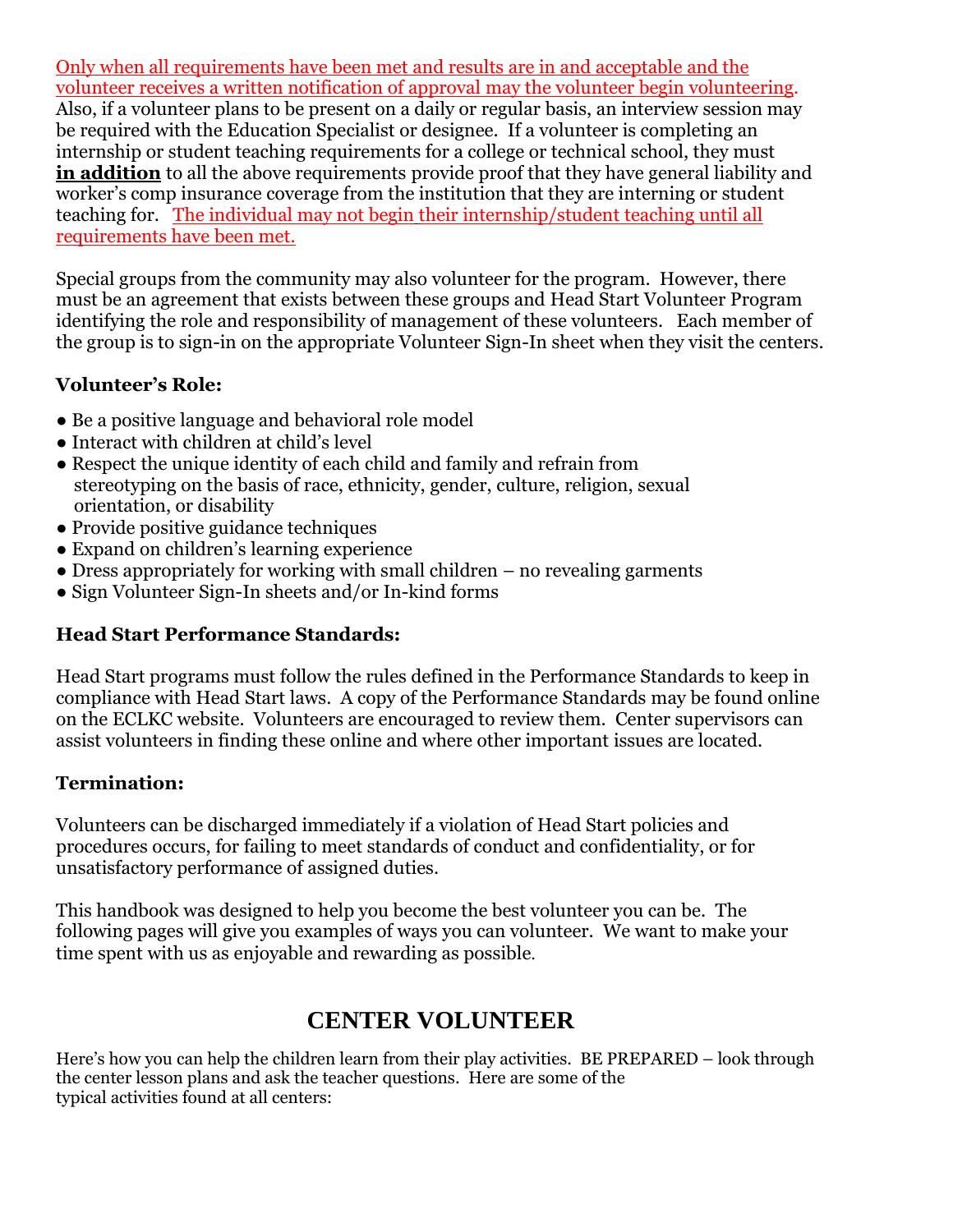Only when all requirements have been met and results are in and acceptable and the volunteer receives a written notification of approval may the volunteer begin volunteering. Also, if a volunteer plans to be present on a daily or regular basis, an interview session may be required with the Education Specialist or designee. If a volunteer is completing an internship or student teaching requirements for a college or technical school, they must **in addition** to all the above requirements provide proof that they have general liability and worker's comp insurance coverage from the institution that they are interning or student teaching for. The individual may not begin their internship/student teaching until all requirements have been met.

Special groups from the community may also volunteer for the program. However, there must be an agreement that exists between these groups and Head Start Volunteer Program identifying the role and responsibility of management of these volunteers. Each member of the group is to sign-in on the appropriate Volunteer Sign-In sheet when they visit the centers.

### **Volunteer's Role:**

- Be a positive language and behavioral role model
- Interact with children at child's level
- Respect the unique identity of each child and family and refrain from stereotyping on the basis of race, ethnicity, gender, culture, religion, sexual orientation, or disability
- Provide positive guidance techniques
- Expand on children's learning experience
- $\bullet$  Dress appropriately for working with small children no revealing garments
- Sign Volunteer Sign-In sheets and/or In-kind forms

#### **Head Start Performance Standards:**

Head Start programs must follow the rules defined in the Performance Standards to keep in compliance with Head Start laws. A copy of the Performance Standards may be found online on the ECLKC website. Volunteers are encouraged to review them. Center supervisors can assist volunteers in finding these online and where other important issues are located.

#### **Termination:**

Volunteers can be discharged immediately if a violation of Head Start policies and procedures occurs, for failing to meet standards of conduct and confidentiality, or for unsatisfactory performance of assigned duties.

This handbook was designed to help you become the best volunteer you can be. The following pages will give you examples of ways you can volunteer. We want to make your time spent with us as enjoyable and rewarding as possible.

## **CENTER VOLUNTEER**

Here's how you can help the children learn from their play activities. BE PREPARED – look through the center lesson plans and ask the teacher questions. Here are some of the typical activities found at all centers: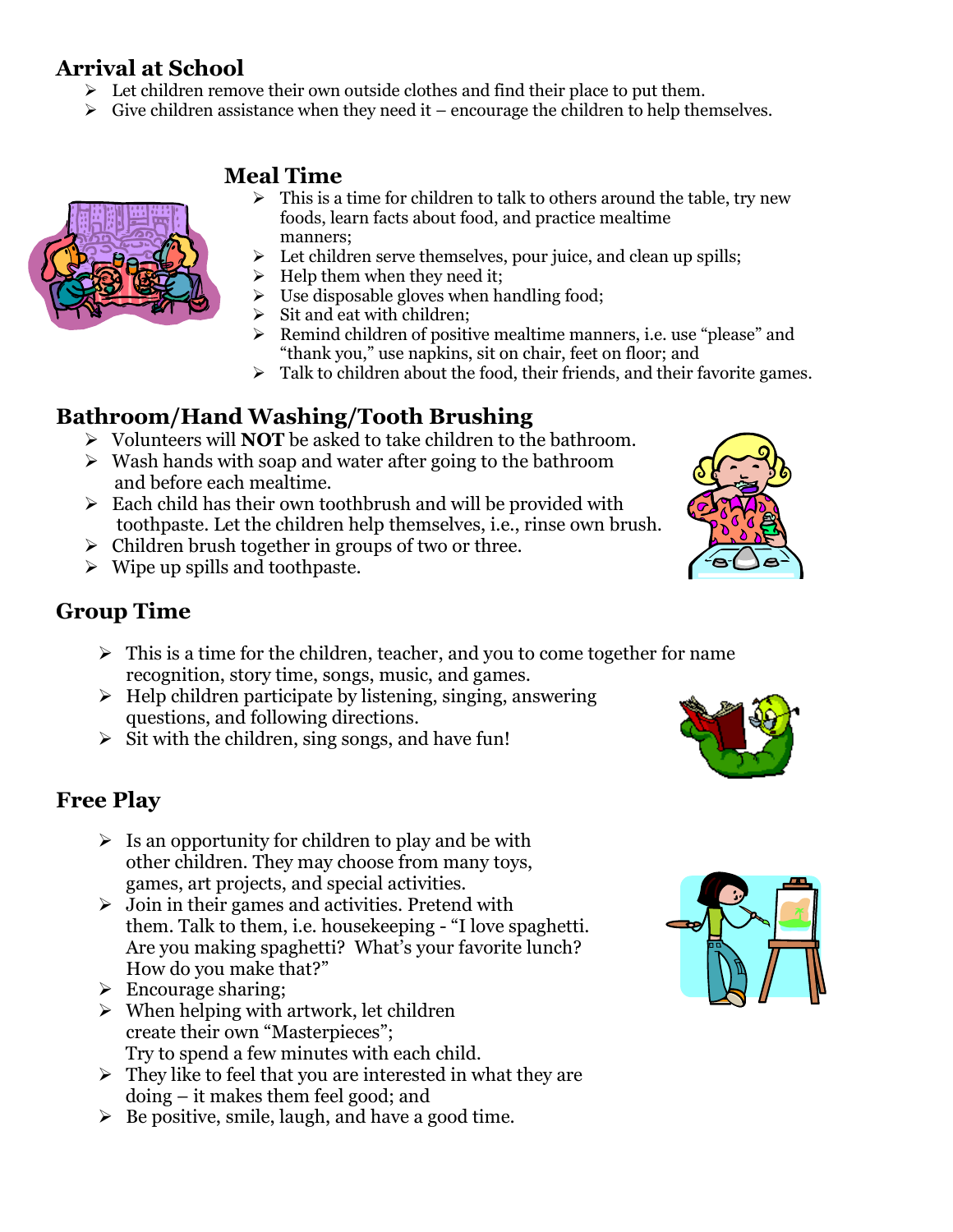## **Arrival at School**

- $\triangleright$  Let children remove their own outside clothes and find their place to put them.
- $\triangleright$  Give children assistance when they need it encourage the children to help themselves.

### **Meal Time**



- $\triangleright$  This is a time for children to talk to others around the table, try new foods, learn facts about food, and practice mealtime manners;
- Let children serve themselves, pour juice, and clean up spills;
- Help them when they need it;
- $\triangleright$  Use disposable gloves when handling food;
- $\triangleright$  Sit and eat with children;
- ➢ Remind children of positive mealtime manners, i.e. use "please" and "thank you," use napkins, sit on chair, feet on floor; and
- $\triangleright$  Talk to children about the food, their friends, and their favorite games.

## **Bathroom/Hand Washing/Tooth Brushing**

- ➢ Volunteers will **NOT** be asked to take children to the bathroom.
- $\triangleright$  Wash hands with soap and water after going to the bathroom and before each mealtime.
- $\triangleright$  Each child has their own toothbrush and will be provided with toothpaste. Let the children help themselves, i.e., rinse own brush.
- $\triangleright$  Children brush together in groups of two or three.
- $\triangleright$  Wipe up spills and toothpaste.

## **Group Time**

- $\triangleright$  This is a time for the children, teacher, and you to come together for name recognition, story time, songs, music, and games.
- $\triangleright$  Help children participate by listening, singing, answering questions, and following directions.
- $\triangleright$  Sit with the children, sing songs, and have fun!

## **Free Play**

- $\triangleright$  Is an opportunity for children to play and be with other children. They may choose from many toys, games, art projects, and special activities.
- $\triangleright$  Join in their games and activities. Pretend with them. Talk to them, i.e. housekeeping - "I love spaghetti. Are you making spaghetti? What's your favorite lunch? How do you make that?"
- $\triangleright$  Encourage sharing;
- $\triangleright$  When helping with artwork, let children create their own "Masterpieces"; Try to spend a few minutes with each child.
- $\triangleright$  They like to feel that you are interested in what they are doing – it makes them feel good; and
- $\triangleright$  Be positive, smile, laugh, and have a good time.





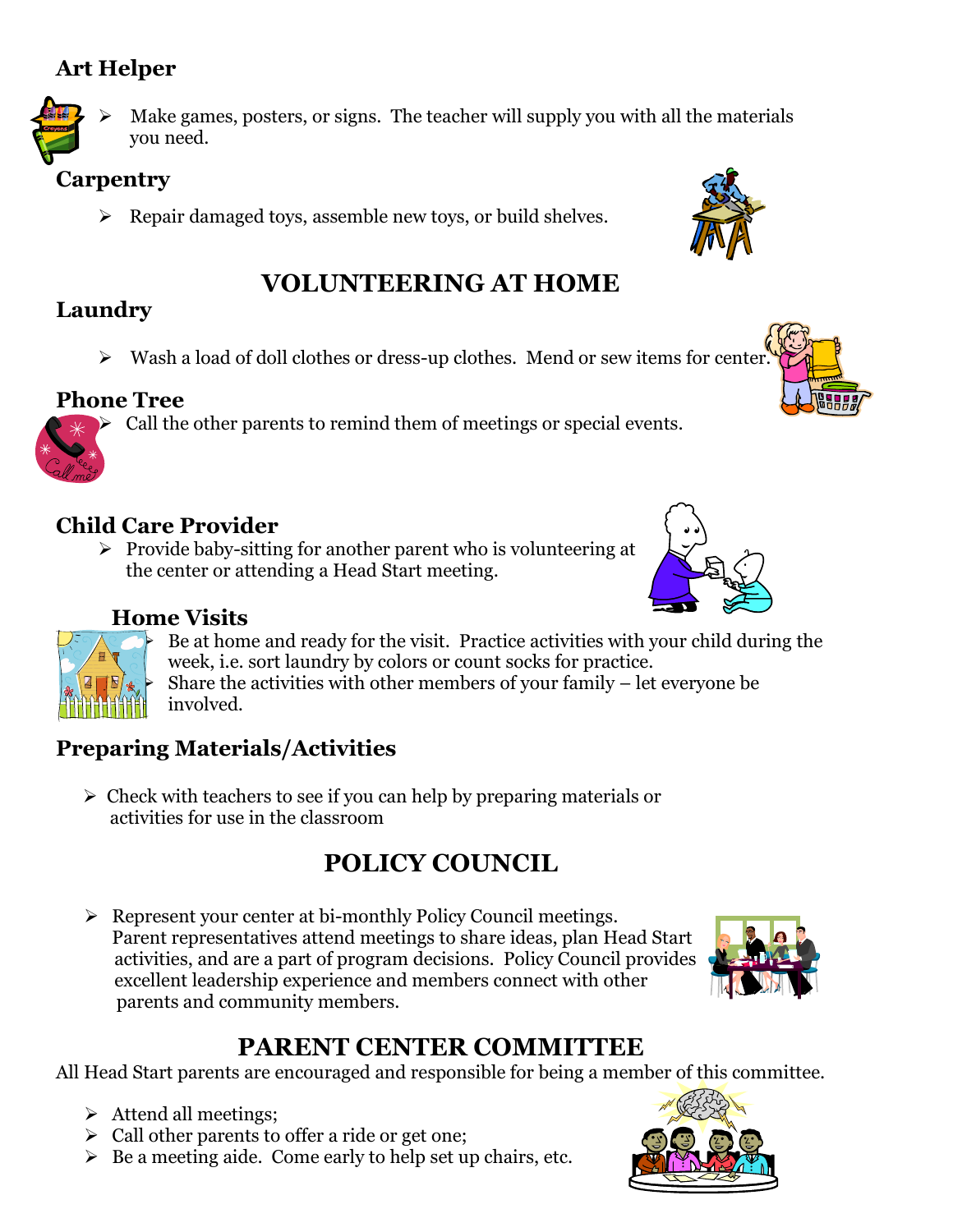## **Art Helper**



Make games, posters, or signs. The teacher will supply you with all the materials you need.

## **Carpentry**

➢ Repair damaged toys, assemble new toys, or build shelves.

# **VOLUNTEERING AT HOME**

# **Laundry**

 $\triangleright$  Wash a load of doll clothes or dress-up clothes. Mend or sew items for center

# **Phone Tree**

➢ Call the other parents to remind them of meetings or special events.

# **Child Care Provider**

➢ Provide baby-sitting for another parent who is volunteering at the center or attending a Head Start meeting.

## **Home Visits**

Be at home and ready for the visit. Practice activities with your child during the week, i.e. sort laundry by colors or count socks for practice.

Share the activities with other members of your family  $-$  let everyone be involved.

### **Preparing Materials/Activities**

 $\geq$  Check with teachers to see if you can help by preparing materials or activities for use in the classroom

# **POLICY COUNCIL**

➢ Represent your center at bi-monthly Policy Council meetings. Parent representatives attend meetings to share ideas, plan Head Start activities, and are a part of program decisions. Policy Council provides excellent leadership experience and members connect with other parents and community members.

# **PARENT CENTER COMMITTEE**

All Head Start parents are encouraged and responsible for being a member of this committee.

- ➢ Attend all meetings;
- ➢ Call other parents to offer a ride or get one;
- $\triangleright$  Be a meeting aide. Come early to help set up chairs, etc.